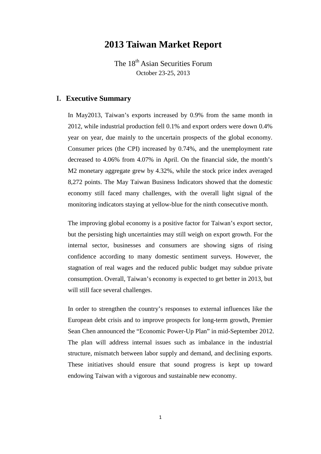# **2013 Taiwan Market Report**

The 18<sup>th</sup> Asian Securities Forum October 23-25, 2013

#### **I. Executive Summary**

In May2013, Taiwan's exports increased by 0.9% from the same month in 2012, while industrial production fell 0.1% and export orders were down 0.4% year on year, due mainly to the uncertain prospects of the global economy. Consumer prices (the CPI) increased by 0.74%, and the unemployment rate decreased to 4.06% from 4.07% in April. On the financial side, the month's M2 monetary aggregate grew by 4.32%, while the stock price index averaged 8,272 points. The May Taiwan Business Indicators showed that the domestic economy still faced many challenges, with the overall light signal of the monitoring indicators staying at yellow-blue for the ninth consecutive month.

The improving global economy is a positive factor for Taiwan's export sector, but the persisting high uncertainties may still weigh on export growth. For the internal sector, businesses and consumers are showing signs of rising confidence according to many domestic sentiment surveys. However, the stagnation of real wages and the reduced public budget may subdue private consumption. Overall, Taiwan's economy is expected to get better in 2013, but will still face several challenges.

In order to strengthen the country's responses to external influences like the European debt crisis and to improve prospects for long-term growth, Premier Sean Chen announced the "Economic Power-Up Plan" in mid-September 2012. The plan will address internal issues such as imbalance in the industrial structure, mismatch between labor supply and demand, and declining exports. These initiatives should ensure that sound progress is kept up toward endowing Taiwan with a vigorous and sustainable new economy.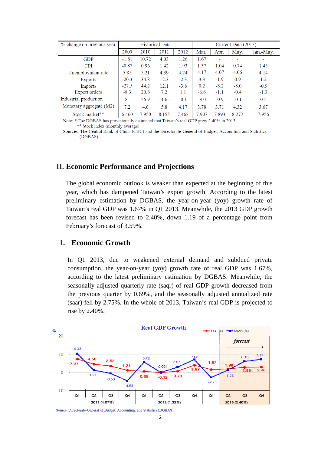| % change on previous year |         |       | <b>Historical Data</b> |        | Current Data (2013) |        |        |           |  |
|---------------------------|---------|-------|------------------------|--------|---------------------|--------|--------|-----------|--|
|                           | 2009    | 2010  | 2011                   | 2012   | Mar.                | Apr.   | May.   | Jan.-May. |  |
| <b>GDP</b>                | $-1.81$ | 10.72 | 4.03                   | 1.26   | 1.67                |        | ۰      |           |  |
| <b>CPI</b>                | $-0.87$ | 0.96  | 1.42                   | 1.93   | 1.37                | 1.04   | 0.74   | 1.45      |  |
| Unemployment rate         | 5.85    | 5.21  | 4.39                   | 4.24   | 4.17                | 4.07   | 4.06   | 4.14      |  |
| Exports                   | $-20.3$ | 34.8  | 12.3                   | $-2.3$ | 3.3                 | $-1.9$ | 0.9    | 1.2       |  |
| Imports                   | $-27.5$ | 44.2  | 12.1                   | $-3.8$ | 0.2                 | $-8.2$ | $-8.0$ | $-0.9$    |  |
| Export orders             | $-8.3$  | 20.6  | 7.2                    | 1.1    | $-6.6$              | $-1.1$ | $-0.4$ | $-1.3$    |  |
| Industrial production     | $-8.1$  | 26.9  | 4.6                    | $-0.1$ | $-3.0$              | $-0.9$ | $-0.1$ | 0.5       |  |
| Monetary aggregate (M2)   | 7.2     | 4.6   | 5.8                    | 4.17   | 3.78                | 3.71   | 4.32   | 3.67      |  |
| Stock market**            | 6.460   | 7,950 | 8.155                  | 7.468  | 7.907               | 7.893  | 8,272  | 7.956     |  |

Note: \* The DGBAS has provisionally estimated that Taiwan's real GDP grew 2.40% in 2013. \*\* Stock index (monthly average).

Sources: The Central Bank of China (CBC) and the Directorate-General of Budget, Accounting and Statistics (DGBAS).

### **II. Economic Performance and Projections**

The global economic outlook is weaker than expected at the beginning of this year, which has dampened Taiwan's export growth. According to the latest preliminary estimation by DGBAS, the year-on-year (yoy) growth rate of Taiwan's real GDP was 1.67% in Q1 2013. Meanwhile, the 2013 GDP growth forecast has been revised to 2.40%, down 1.19 of a percentage point from February's forecast of 3.59%.

#### **1. Economic Growth**

In Q1 2013, due to weakened external demand and subdued private consumption, the year-on-year (yoy) growth rate of real GDP was 1.67%, according to the latest preliminary estimation by DGBAS. Meanwhile, the seasonally adjusted quarterly rate (saqr) of real GDP growth decreased from the previous quarter by 0.69%, and the seasonally adjusted annualized rate (saar) fell by 2.75%. In the whole of 2013, Taiwan's real GDP is projected to rise by 2.40%.



Source: Directorate-General of Budget, Accounting, and Statistics (DGBAS)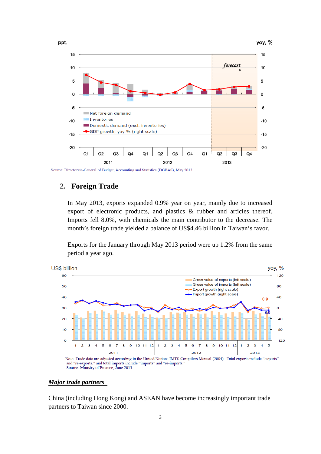

# **2. Foreign Trade**

In May 2013, exports expanded 0.9% year on year, mainly due to increased export of electronic products, and plastics & rubber and articles thereof. Imports fell 8.0%, with chemicals the main contributor to the decrease. The month's foreign trade yielded a balance of US\$4.46 billion in Taiwan's favor.

Exports for the January through May 2013 period were up 1.2% from the same period a year ago.



#### *Major trade partners*

China (including Hong Kong) and ASEAN have become increasingly important trade partners to Taiwan since 2000.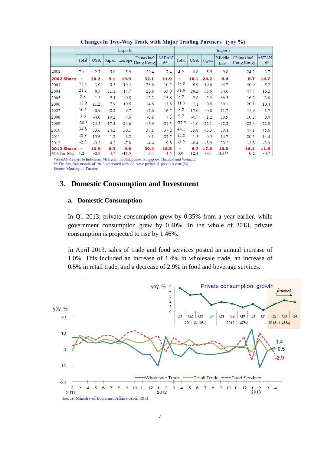|               | <b>Exports</b>           |            |         |         |                            |                      |         | <b>Imports</b> |         |                |                            |                      |  |  |
|---------------|--------------------------|------------|---------|---------|----------------------------|----------------------|---------|----------------|---------|----------------|----------------------------|----------------------|--|--|
|               | Total                    | <b>USA</b> | Japan   | Europe  | China (incl.<br>Hong Kong) | <b>ASEAN</b><br>$6*$ | Total   | <b>USA</b>     | Japan   | Middle<br>East | China (incl.<br>Hong Kong) | <b>ASEAN</b><br>$6*$ |  |  |
| 2002          | 7.1                      | $-2.7$     | $-5.0$  | $-5.9$  | 29.4                       | 7.4                  | 4.9     | $-0.8$         | 5.5     | 9.8            | 24.2                       | 3.7                  |  |  |
| 2002 Share    |                          | 20.2       | 9.1     | 13.9    | 32.1                       | 11.9                 | -       | 16.1           | 24.2    | 6.4            | 8.7                        | 14.7                 |  |  |
| 2003          | 11.3                     | $-3.0$     | 0.5     | 10.4    | 23.6                       | 10.5                 | 13.0    | $-6.9$         | 19.6    | 43.7           | 30.9                       | 5.2                  |  |  |
| 2004          | 21.1                     | 8.3        | 11.1    | 14.7    | 28.8                       | 33.0                 | 31.8    | 28.2           | 33.6    | 34.6           | 47.7                       | 16.2                 |  |  |
| 2005          | 8.8                      | 1.3        | 9.4     | $-0.8$  | 12.2                       | 13.8                 | 8.2     | $-2.8$         | 5.3     | 36.5           | 16.2                       | 3.8                  |  |  |
| 2006          | 12.9                     | 11.2       | 7.9     | 10.5    | 14.8                       | 13.8                 | 11.0    | 7.1            | 0.5     | 30.1           | 20.1                       | 10.4                 |  |  |
| 2007          | 10.1                     | $-0.9$     | $-2.2$  | 9.7     | 12.6                       | 16.7                 | 8.2     | 17.0           | $-0.8$  | 11.7           | 11.9                       | 1.7                  |  |  |
| 2008          | 3.6                      | $-4.0$     | 10.2    | 4.6     | $-0.8$                     | 7.3                  | 9.7     | $-0.7$         | 1.2     | 39.9           | 10.2                       | 8.0                  |  |  |
| 2009          | $-20.3$                  | $-23.5$    | $-17.4$ | $-24.6$ | $-15.9$                    | $-21.5$              | $-27.5$ | $-31.0$        | $-22.1$ | $-42.2$        | $-22.3$                    | $-22.8$              |  |  |
| 2010          | 34.8                     | 33.6       | 24.2    | 30.1    | 37.1                       | 37.2                 | 44.1    | 39.8           | 43.3    | 39.4           | 47.1                       | 45.6                 |  |  |
| 2011          | 12.3                     | 15.6       | 1.2     | 6.2     | 8.1                        | 22.7                 | 12.0    | 1.5            | 0.5     | 14.7           | 20.5                       | 13.4                 |  |  |
| 2012          | $-2.3$                   | $-9.3$     | 4.2     | $-7.8$  | $-4.4$                     | 9.8                  | $-3.9$  | $-8.4$         | $-8.9$  | 20.2           | $-3.8$                     | $-3.9$               |  |  |
| 2012 Share    | $\overline{\phantom{a}}$ | 10.9       | 6.3     | 9.6     | 39.4                       | 18.5                 |         | 8.7            | 17.6    | 16.0           | 16.1                       | 11.6                 |  |  |
| 2013 Jan.-May | 1.2                      | $-0.8$     | 4.7     | $-11.5$ | 3.4                        | 4.5                  | $-0.9$  | 12.4           | $-8.1$  | $3.3**$        | 0.2                        | $-0.7$               |  |  |

Changes in Two-Way Trade with Major Trading Partners (yoy %)

\*ASEAN 6 refers to Indonesia, Malaysia, the Philippines, Singapore, Thailand and Vietnam. \*\* The first four months of 2013 compared with the same period of previous year (%). Source: Ministry of Finance.

# **3. Domestic Consumption and Investment**

#### **a. Domestic Consumption**

In Q1 2013, private consumption grew by 0.35% from a year earlier, while government consumption grew by 0.40%. In the whole of 2013, private consumption is projected to rise by 1.46%.

In April 2013, sales of trade and food services posted an annual increase of 1.0%. This included an increase of 1.4% in wholesale trade, an increase of 0.5% in retail trade, and a decrease of 2.9% in food and beverage services.

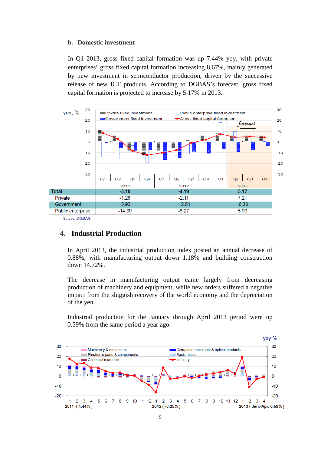#### **b. Domestic investment**

In Q1 2013, gross fixed capital formation was up 7.44% yoy, with private enterprises' gross fixed capital formation increasing 8.67%, mainly generated by new investment in semiconductor production, driven by the successive release of new ICT products. According to DGBAS's forecast, gross fixed capital formation is projected to increase by 5.17% in 2013.



Source: DGBAS

### **4. Industrial Production**

In April 2013, the industrial production index posted an annual decrease of 0.88%, with manufacturing output down 1.18% and building construction down 14.72%.

The decrease in manufacturing output came largely from decreasing production of machinery and equipment, while new orders suffered a negative impact from the sluggish recovery of the world economy and the depreciation of the yen.

Industrial production for the January through April 2013 period were up 0.59% from the same period a year ago.

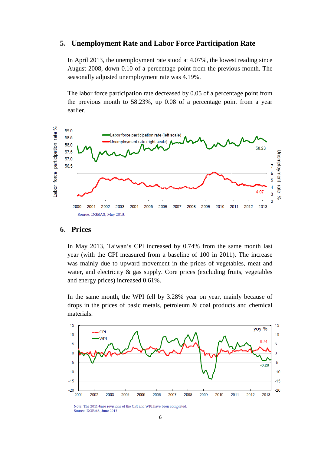#### **5. Unemployment Rate and Labor Force Participation Rate**

In April 2013, the unemployment rate stood at 4.07%, the lowest reading since August 2008, down 0.10 of a percentage point from the previous month. The seasonally adjusted unemployment rate was 4.19%.

The labor force participation rate decreased by 0.05 of a percentage point from the previous month to 58.23%, up 0.08 of a percentage point from a year earlier.



### **6. Prices**

In May 2013, Taiwan's CPI increased by 0.74% from the same month last year (with the CPI measured from a baseline of 100 in 2011). The increase was mainly due to upward movement in the prices of vegetables, meat and water, and electricity & gas supply. Core prices (excluding fruits, vegetables and energy prices) increased 0.61%.

In the same month, the WPI fell by 3.28% year on year, mainly because of drops in the prices of basic metals, petroleum & coal products and chemical materials.



Note: The 2011-base revisions of the CPI and WPI have been completed Source: DGBAS, June 2013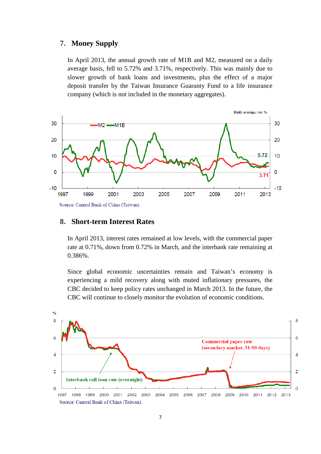#### **7. Money Supply**

In April 2013, the annual growth rate of M1B and M2, measured on a daily average basis, fell to 5.72% and 3.71%, respectively. This was mainly due to slower growth of bank loans and investments, plus the effect of a major deposit transfer by the Taiwan Insurance Guaranty Fund to a life insurance company (which is not included in the monetary aggregates).



### **8. Short-term Interest Rates**

In April 2013, interest rates remained at low levels, with the commercial paper rate at 0.71%, down from 0.72% in March, and the interbank rate remaining at 0.386%.

Since global economic uncertainties remain and Taiwan's economy is experiencing a mild recovery along with muted inflationary pressures, the CBC decided to keep policy rates unchanged in March 2013. In the future, the CBC will continue to closely monitor the evolution of economic conditions.

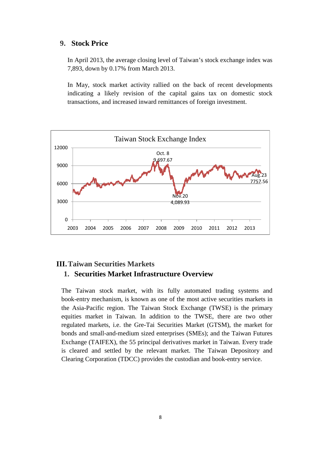#### **9. Stock Price**

In April 2013, the average closing level of Taiwan's stock exchange index was 7,893, down by 0.17% from March 2013.

In May, stock market activity rallied on the back of recent developments indicating a likely revision of the capital gains tax on domestic stock transactions, and increased inward remittances of foreign investment.



### **III.Taiwan Securities Markets**

### **1. Securities Market Infrastructure Overview**

The Taiwan stock market, with its fully automated trading systems and book-entry mechanism, is known as one of the most active securities markets in the Asia-Pacific region. The Taiwan Stock Exchange (TWSE) is the primary equities market in Taiwan. In addition to the TWSE, there are two other regulated markets, i.e. the Gre-Tai Securities Market (GTSM), the market for bonds and small-and-medium sized enterprises (SMEs); and the Taiwan Futures Exchange (TAIFEX), the 55 principal derivatives market in Taiwan. Every trade is cleared and settled by the relevant market. The Taiwan Depository and Clearing Corporation (TDCC) provides the custodian and book-entry service.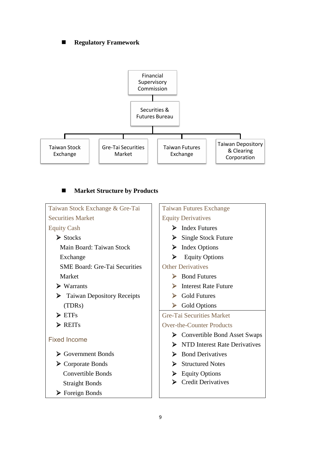### **Regulatory Framework**



### **Market Structure by Products**

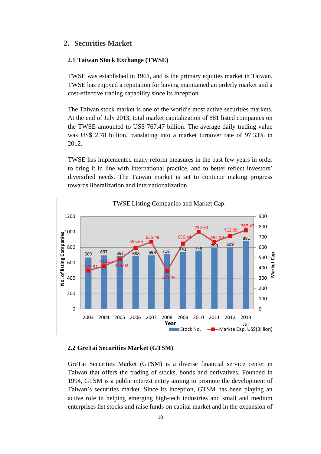### **2. Securities Market**

#### **2.1 Taiwan Stock Exchange (TWSE)**

TWSE was established in 1961, and is the primary equities market in Taiwan. TWSE has enjoyed a reputation for having maintained an orderly market and a cost-effective trading capability since its inception.

The Taiwan stock market is one of the world's most active securities markets. At the end of July 2013, total market capitalization of 881 listed companies on the TWSE amounted to US\$ 767.47 billion. The average daily trading value was US\$ 2.78 billion, translating into a market turnover rate of 97.33% in 2012.

TWSE has implemented many reform measures in the past few years in order to bring it in line with international practice, and to better reflect investors' diversified needs. The Taiwan market is set to continue making progress towards liberalization and internationalization.



#### **2.2 GreTai Securities Market (GTSM)**

GreTai Securities Market (GTSM) is a diverse financial service center in Taiwan that offers the trading of stocks, bonds and derivatives. Founded in 1994, GTSM is a public interest entity aiming to promote the development of Taiwan's securities market. Since its inception, GTSM has been playing an active role in helping emerging high-tech industries and small and medium enterprises list stocks and raise funds on capital market and in the expansion of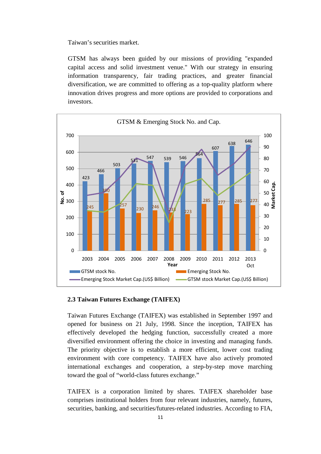Taiwan's securities market.

GTSM has always been guided by our missions of providing "expanded capital access and solid investment venue." With our strategy in ensuring information transparency, fair trading practices, and greater financial diversification, we are committed to offering as a top-quality platform where innovation drives progress and more options are provided to corporations and investors.



#### **2.3 Taiwan Futures Exchange (TAIFEX)**

Taiwan Futures Exchange (TAIFEX) was established in September 1997 and opened for business on 21 July, 1998. Since the inception, TAIFEX has effectively developed the hedging function, successfully created a more diversified environment offering the choice in investing and managing funds. The priority objective is to establish a more efficient, lower cost trading environment with core competency. TAIFEX have also actively promoted international exchanges and cooperation, a step-by-step move marching toward the goal of "world-class futures exchange."

TAIFEX is a corporation limited by shares. TAIFEX shareholder base comprises institutional holders from four relevant industries, namely, futures, securities, banking, and securities/futures-related industries. According to FIA,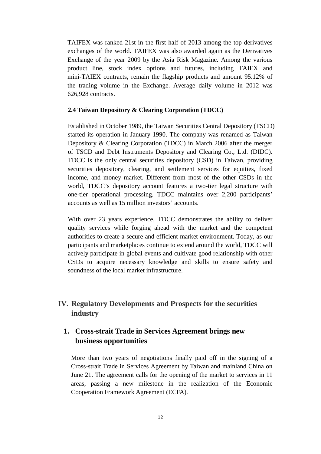TAIFEX was ranked 21st in the first half of 2013 among the top derivatives exchanges of the world. TAIFEX was also awarded again as the Derivatives Exchange of the year 2009 by the Asia Risk Magazine. Among the various product line, stock index options and futures, including TAIEX and mini-TAIEX contracts, remain the flagship products and amount 95.12% of the trading volume in the Exchange. Average daily volume in 2012 was 626,928 contracts.

#### **2.4 Taiwan Depository & Clearing Corporation (TDCC)**

Established in October 1989, the Taiwan Securities Central Depository (TSCD) started its operation in January 1990. The company was renamed as Taiwan Depository & Clearing Corporation (TDCC) in March 2006 after the merger of TSCD and Debt Instruments Depository and Clearing Co., Ltd. (DIDC). TDCC is the only central securities depository (CSD) in Taiwan, providing securities depository, clearing, and settlement services for equities, fixed income, and money market. Different from most of the other CSDs in the world, TDCC's depository account features a two-tier legal structure with one-tier operational processing. TDCC maintains over 2,200 participants' accounts as well as 15 million investors' accounts.

With over 23 years experience, TDCC demonstrates the ability to deliver quality services while forging ahead with the market and the competent authorities to create a secure and efficient market environment. Today, as our participants and marketplaces continue to extend around the world, TDCC will actively participate in global events and cultivate good relationship with other CSDs to acquire necessary knowledge and skills to ensure safety and soundness of the local market infrastructure.

# **IV. Regulatory Developments and Prospects for the securities industry**

# **1. Cross-strait Trade in Services Agreement brings new business opportunities**

More than two years of negotiations finally paid off in the signing of a Cross-strait Trade in Services Agreement by Taiwan and mainland China on June 21. The agreement calls for the opening of the market to services in 11 areas, passing a new milestone in the realization of the Economic Cooperation Framework Agreement (ECFA).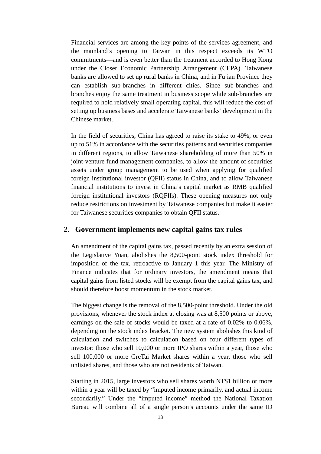Financial services are among the key points of the services agreement, and the mainland's opening to Taiwan in this respect exceeds its WTO commitments—and is even better than the treatment accorded to Hong Kong under the Closer Economic Partnership Arrangement (CEPA). Taiwanese banks are allowed to set up rural banks in China, and in Fujian Province they can establish sub-branches in different cities. Since sub-branches and branches enjoy the same treatment in business scope while sub-branches are required to hold relatively small operating capital, this will reduce the cost of setting up business bases and accelerate Taiwanese banks' development in the Chinese market.

In the field of securities, China has agreed to raise its stake to 49%, or even up to 51% in accordance with the securities patterns and securities companies in different regions, to allow Taiwanese shareholding of more than 50% in joint-venture fund management companies, to allow the amount of securities assets under group management to be used when applying for qualified foreign institutional investor (QFII) status in China, and to allow Taiwanese financial institutions to invest in China's capital market as RMB qualified foreign institutional investors (RQFIIs). These opening measures not only reduce restrictions on investment by Taiwanese companies but make it easier for Taiwanese securities companies to obtain QFII status.

### **2. [Government implements new capital gains tax rules](http://www.cepd.gov.tw/encontent/m1.aspx?sNo=0019593)**

An amendment of the capital gains tax, passed recently by an extra session of the Legislative Yuan, abolishes the 8,500-point stock index threshold for imposition of the tax, retroactive to January 1 this year. The Ministry of Finance indicates that for ordinary investors, the amendment means that capital gains from listed stocks will be exempt from the capital gains tax, and should therefore boost momentum in the stock market.

The biggest change is the removal of the 8,500-point threshold. Under the old provisions, whenever the stock index at closing was at 8,500 points or above, earnings on the sale of stocks would be taxed at a rate of 0.02% to 0.06%, depending on the stock index bracket. The new system abolishes this kind of calculation and switches to calculation based on four different types of investor: those who sell 10,000 or more IPO shares within a year, those who sell 100,000 or more GreTai Market shares within a year, those who sell unlisted shares, and those who are not residents of Taiwan.

Starting in 2015, large investors who sell shares worth NT\$1 billion or more within a year will be taxed by "imputed income primarily, and actual income secondarily." Under the "imputed income" method the National Taxation Bureau will combine all of a single person's accounts under the same ID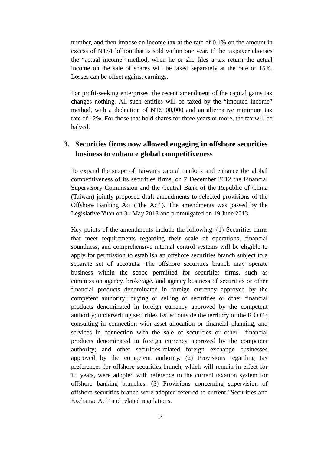number, and then impose an income tax at the rate of 0.1% on the amount in excess of NT\$1 billion that is sold within one year. If the taxpayer chooses the "actual income" method, when he or she files a tax return the actual income on the sale of shares will be taxed separately at the rate of 15%. Losses can be offset against earnings.

For profit-seeking enterprises, the recent amendment of the capital gains tax changes nothing. All such entities will be taxed by the "imputed income" method, with a deduction of NT\$500,000 and an alternative minimum tax rate of 12%. For those that hold shares for three years or more, the tax will be halved.

# **3. Securities firms now allowed engaging in offshore securities business to enhance global competitiveness**

To expand the scope of Taiwan's capital markets and enhance the global competitiveness of its securities firms, on 7 December 2012 the Financial Supervisory Commission and the Central Bank of the Republic of China (Taiwan) jointly proposed draft amendments to selected provisions of the Offshore Banking Act ("the Act"). The amendments was passed by the Legislative Yuan on 31 May 2013 and promulgated on 19 June 2013.

Key points of the amendments include the following: (1) Securities firms that meet requirements regarding their scale of operations, financial soundness, and comprehensive internal control systems will be eligible to apply for permission to establish an offshore securities branch subject to a separate set of accounts. The offshore securities branch may operate business within the scope permitted for securities firms, such as commission agency, brokerage, and agency business of securities or other financial products denominated in foreign currency approved by the competent authority; buying or selling of securities or other financial products denominated in foreign currency approved by the competent authority; underwriting securities issued outside the territory of the R.O.C.; consulting in connection with asset allocation or financial planning, and services in connection with the sale of securities or other financial products denominated in foreign currency approved by the competent authority; and other securities-related foreign exchange businesses approved by the competent authority. (2) Provisions regarding tax preferences for offshore securities branch, which will remain in effect for 15 years, were adopted with reference to the current taxation system for offshore banking branches. (3) Provisions concerning supervision of offshore securities branch were adopted referred to current "Securities and Exchange Act" and related regulations.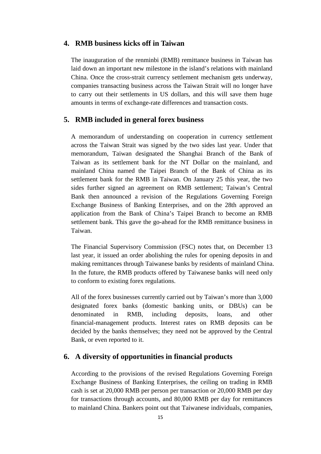### **4. RMB business kicks off in Taiwan**

The inauguration of the renminbi (RMB) remittance business in Taiwan has laid down an important new milestone in the island's relations with mainland China. Once the cross-strait currency settlement mechanism gets underway, companies transacting business across the Taiwan Strait will no longer have to carry out their settlements in US dollars, and this will save them huge amounts in terms of exchange-rate differences and transaction costs.

### **5. RMB included in general forex business**

A memorandum of understanding on cooperation in currency settlement across the Taiwan Strait was signed by the two sides last year. Under that memorandum, Taiwan designated the Shanghai Branch of the Bank of Taiwan as its settlement bank for the NT Dollar on the mainland, and mainland China named the Taipei Branch of the Bank of China as its settlement bank for the RMB in Taiwan. On January 25 this year, the two sides further signed an agreement on RMB settlement; Taiwan's Central Bank then announced a revision of the Regulations Governing Foreign Exchange Business of Banking Enterprises, and on the 28th approved an application from the Bank of China's Taipei Branch to become an RMB settlement bank. This gave the go-ahead for the RMB remittance business in Taiwan.

The Financial Supervisory Commission (FSC) notes that, on December 13 last year, it issued an order abolishing the rules for opening deposits in and making remittances through Taiwanese banks by residents of mainland China. In the future, the RMB products offered by Taiwanese banks will need only to conform to existing forex regulations.

All of the forex businesses currently carried out by Taiwan's more than 3,000 designated forex banks (domestic banking units, or DBUs) can be denominated in RMB, including deposits, loans, and other financial-management products. Interest rates on RMB deposits can be decided by the banks themselves; they need not be approved by the Central Bank, or even reported to it.

### **6. A diversity of opportunities in financial products**

According to the provisions of the revised Regulations Governing Foreign Exchange Business of Banking Enterprises, the ceiling on trading in RMB cash is set at 20,000 RMB per person per transaction or 20,000 RMB per day for transactions through accounts, and 80,000 RMB per day for remittances to mainland China. Bankers point out that Taiwanese individuals, companies,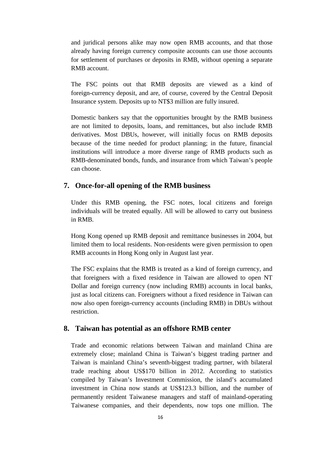and juridical persons alike may now open RMB accounts, and that those already having foreign currency composite accounts can use those accounts for settlement of purchases or deposits in RMB, without opening a separate RMB account.

The FSC points out that RMB deposits are viewed as a kind of foreign-currency deposit, and are, of course, covered by the Central Deposit Insurance system. Deposits up to NT\$3 million are fully insured.

Domestic bankers say that the opportunities brought by the RMB business are not limited to deposits, loans, and remittances, but also include RMB derivatives. Most DBUs, however, will initially focus on RMB deposits because of the time needed for product planning; in the future, financial institutions will introduce a more diverse range of RMB products such as RMB-denominated bonds, funds, and insurance from which Taiwan's people can choose.

#### **7. Once-for-all opening of the RMB business**

Under this RMB opening, the FSC notes, local citizens and foreign individuals will be treated equally. All will be allowed to carry out business in RMB.

Hong Kong opened up RMB deposit and remittance businesses in 2004, but limited them to local residents. Non-residents were given permission to open RMB accounts in Hong Kong only in August last year.

The FSC explains that the RMB is treated as a kind of foreign currency, and that foreigners with a fixed residence in Taiwan are allowed to open NT Dollar and foreign currency (now including RMB) accounts in local banks, just as local citizens can. Foreigners without a fixed residence in Taiwan can now also open foreign-currency accounts (including RMB) in DBUs without restriction.

#### **8. Taiwan has potential as an offshore RMB center**

Trade and economic relations between Taiwan and mainland China are extremely close; mainland China is Taiwan's biggest trading partner and Taiwan is mainland China's seventh-biggest trading partner, with bilateral trade reaching about US\$170 billion in 2012. According to statistics compiled by Taiwan's Investment Commission, the island's accumulated investment in China now stands at US\$123.3 billion, and the number of permanently resident Taiwanese managers and staff of mainland-operating Taiwanese companies, and their dependents, now tops one million. The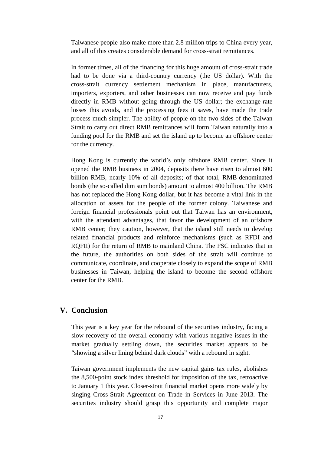Taiwanese people also make more than 2.8 million trips to China every year, and all of this creates considerable demand for cross-strait remittances.

In former times, all of the financing for this huge amount of cross-strait trade had to be done via a third-country currency (the US dollar). With the cross-strait currency settlement mechanism in place, manufacturers, importers, exporters, and other businesses can now receive and pay funds directly in RMB without going through the US dollar; the exchange-rate losses this avoids, and the processing fees it saves, have made the trade process much simpler. The ability of people on the two sides of the Taiwan Strait to carry out direct RMB remittances will form Taiwan naturally into a funding pool for the RMB and set the island up to become an offshore center for the currency.

Hong Kong is currently the world's only offshore RMB center. Since it opened the RMB business in 2004, deposits there have risen to almost 600 billion RMB, nearly 10% of all deposits; of that total, RMB-denominated bonds (the so-called dim sum bonds) amount to almost 400 billion. The RMB has not replaced the Hong Kong dollar, but it has become a vital link in the allocation of assets for the people of the former colony. Taiwanese and foreign financial professionals point out that Taiwan has an environment, with the attendant advantages, that favor the development of an offshore RMB center; they caution, however, that the island still needs to develop related financial products and reinforce mechanisms (such as RFDI and RQFII) for the return of RMB to mainland China. The FSC indicates that in the future, the authorities on both sides of the strait will continue to communicate, coordinate, and cooperate closely to expand the scope of RMB businesses in Taiwan, helping the island to become the second offshore center for the RMB.

### **V. Conclusion**

This year is a key year for the rebound of the securities industry, facing a slow recovery of the overall economy with various negative issues in the market gradually settling down, the securities market appears to be "showing a silver lining behind dark clouds" with a rebound in sight.

Taiwan [government implements the new capital gains tax rules,](http://www.cepd.gov.tw/encontent/m1.aspx?sNo=0019593) abolishes the 8,500-point stock index threshold for imposition of the tax, retroactive to January 1 this year. Closer-strait financial market opens more widely by singing Cross-Strait Agreement on Trade in Services in June 2013. The securities industry should grasp this opportunity and complete major